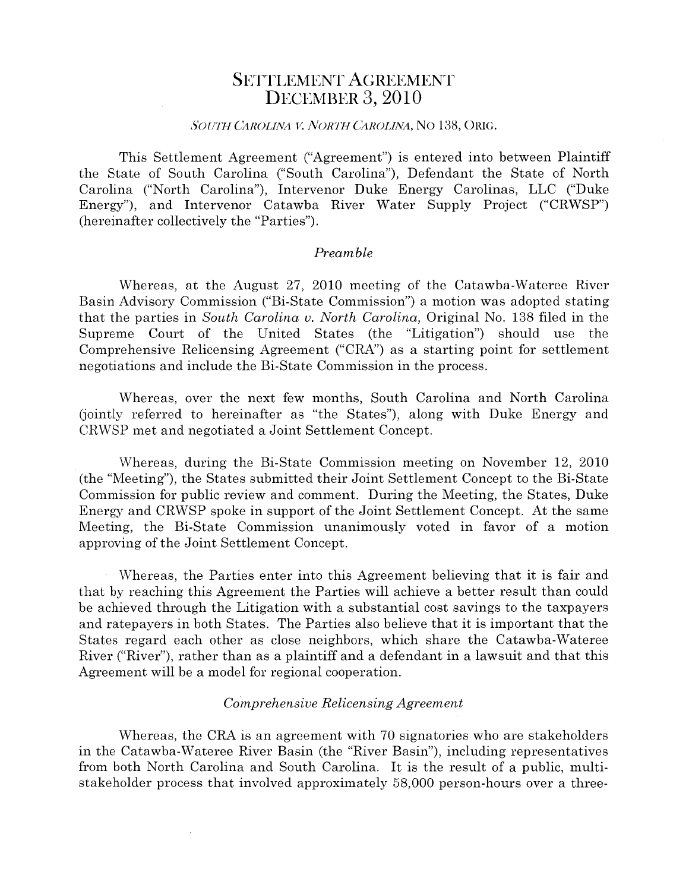## SETTLEMENT AGREEMENT **DECEMBER 3, 2010**

### SOUTH CAROLINA V. NORTH CAROLINA, NO 138, ORIG.

This Settlement Agreement ("Agreement") is entered into between Plaintiff the State of South Carolina ("South Carolina"), Defendant the State of North Carolina ("North Carolina"), Intervenor Duke Energy Carolinas, LLC ("Duke Energy"), and Intervenor Catawba River Water Supply Project ("CRWSP") (hereinafter collectively the "Parties").

#### Preamble

Whereas, at the August 27, 2010 meeting of the Catawba-Wateree River Basin Advisory Commission ("Bi-State Commission") <sup>a</sup> motion was adopted stating that the parties in South Carolina v. North Carolina, Original No. 138 filed in the Supreme Court of the United States (the "Litigation") should use the Comprehensive Relicensing Agreement ("CRA") as <sup>a</sup> starting point for settlement negotiations and include the Bi-State Commission in the process.

Whereas, over the next few months, South Carolina and North Carolina (jointly referred to hereinafter as "the States"), along with Duke Energy and CRWSP met and negotiated <sup>a</sup> Joint Settlement Concept.

Whereas, during the Bi-State Commission meeting on November 12, 2010 (the "Meeting"), the States submitted their Joint Settlement Concept to the Bi-State Commission for public review and comment. During the Meeting, the States, Duke Energy and CRWSP spoke in suppor<sup>t</sup> of the Joint Settlement Concept. At the same Meeting, the Bi-State Commission unanimously voted in favor of <sup>a</sup> motion approving of the Joint Settlement Concept.

Whereas, the Parties enter into this Agreement believing that it is fair and that by reaching this Agreement the Parties will achieve <sup>a</sup> better result than could be achieved through the Litigation with <sup>a</sup> substantial cost savings to the taxpayers and ratepayers in both States. The Parties also believe that it is important that the States regard each other as close neighbors, which share the Catawba-Wateree River ("River"), rather than as <sup>a</sup> plaintiff and <sup>a</sup> defendant in <sup>a</sup> lawsuit and that this Agreement will be <sup>a</sup> model for regional cooperation.

#### Comprehensive Relicensing Agreement

Whereas, the CRA is an agreemen<sup>t</sup> with 70 signatories who are stakeholders in the Catawba-Wateree River Basin (the "River Basin"), including representatives from both North Carolina and South Carolina. It is the result of <sup>a</sup> public, multi stakeholder process that involved approximately 58,000 person-hours over <sup>a</sup> three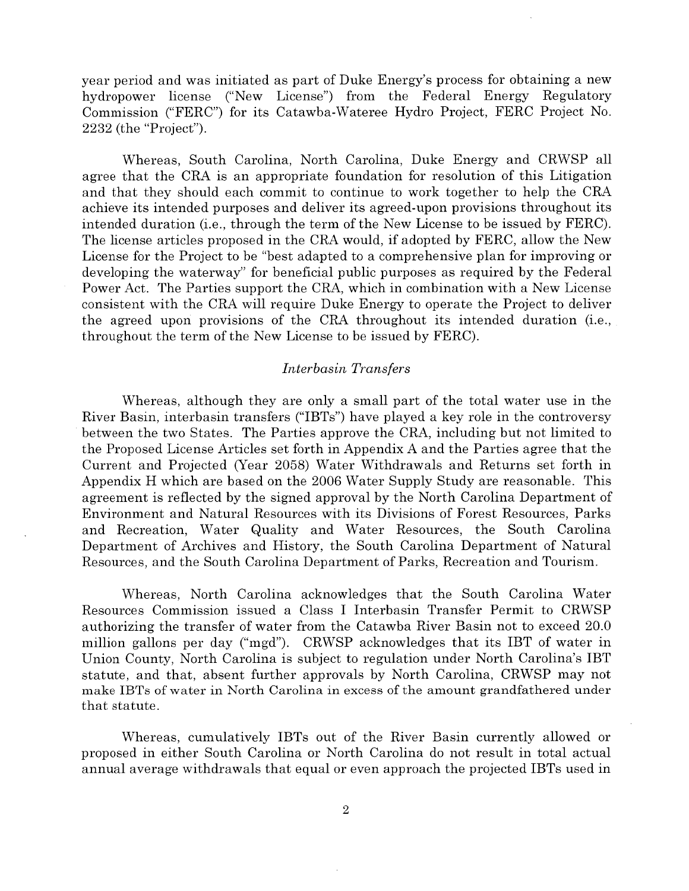year period and was initiated as par<sup>t</sup> of Duke Energy's process for obtaining <sup>a</sup> new hydropower license ("New License") from the Federal Energy Regulatory Commission ("FERC") for its Catawba-Wateree Hydro Project, FERC Project No. 2232 (the "Project").

Whereas, South Carolina, North Carolina, Duke Energy and CRWSP all agree that the CRA is an appropriate foundation for resolution of this Litigation and that they should each commit to continue to work together to help the CRA achieve its intended purposes and deliver its agreed-upon provisions throughout its intended duration (i.e., through the term of the New License to be issued by FERC). The license articles proposed in the CRA would, if adopted by FERC, allow the New License for the Project to be "best adapted to <sup>a</sup> comprehensive plan for improving or developing the waterway" for beneficial public purposes as required by the Federal Power Act. The Parties suppor<sup>t</sup> the CRA, which in combination with <sup>a</sup> New License consistent with the CRA will require Duke Energy to operate the Project to deliver the agreed upon provisions of the CRA throughout its intended duration (i.e., throughout the term of the New License to be issued by FERC).

#### Interbasin Transfers

Whereas, although they are only <sup>a</sup> small par<sup>t</sup> of the total water use in the River Basin, interbasin transfers ("IBTs") have played <sup>a</sup> key role in the controversy between the two States. The Parties approve the CRA, including but not limited to the Proposed License Articles set forth in Appendix A and the Parties agree that the Current and Projected (Year 2058) Water Withdrawals and Returns set forth in Appendix H which are based on the 2006 Water Supply Study are reasonable. This agreemen<sup>t</sup> is reflected by the signed approval by the North Carolina Department of Environment and Natural Resources with its Divisions of Forest Resources, Parks and Recreation, Water Quality and Water Resources, the South Carolina Department of Archives and History, the South Carolina Department of Natural Resources, and the South Carolina Department of Parks, Recreation and Tourism.

Whereas, North Carolina acknowledges that the South Carolina Water Resources Commission issued <sup>a</sup> Class I Interbasin Transfer Permit to CRWSP authorizing the transfer of water from the Catawba River Basin not to exceed 20.0 million gallons per day ("mgd"). CRWSP acknowledges that its IBT of water in Union County, North Carolina is subject to regulation under North Carolina's IBT statute, and that, absent further approvals by North Carolina, CRWSP may not make IBTs of water in North Carolina in excess of the amount grandfathered under that statute.

Whereas, cumulatively IBTs out of the River Basin currently allowed or proposed in either South Carolina or North Carolina do not result in total actual annual average withdrawals that equal or even approach the projected IBTs used in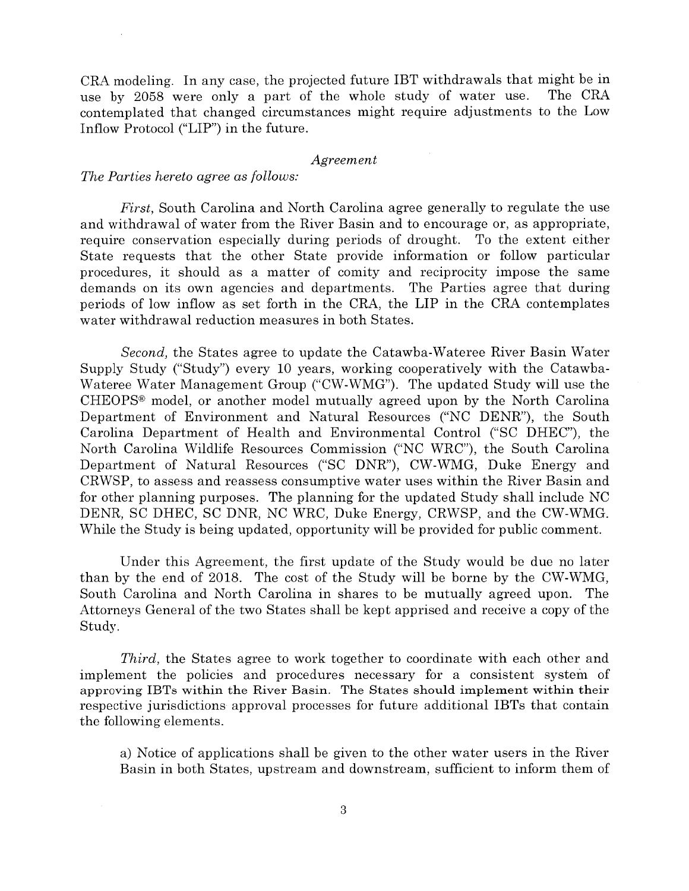CRA modeling. In any case, the projected future IBT withdrawals that might be in use by <sup>2058</sup> were only <sup>a</sup> par<sup>t</sup> of the whole study of water use. The CRA contemplated that changed circumstances might require adjustments to the Low Inflow Protocol ("LIP") in the future.

#### Agreement

#### The Parties hereto agree as follows:

First, South Carolina and North Carolina agree generally to regulate the use and withdrawal of water from the River Basin and to encourage or, as appropriate, require conservation especially during periods of drought. To the extent either State requests that the other State provide information or follow particular procedures, it should as <sup>a</sup> matter of comity and reciprocity impose the same demands on its own agencies and departments. The Parties agree that during periods of low inflow as set forth in the CRA, the LIP in the CRA contemplates water withdrawal reduction measures in both States.

Second, the States agree to update the Catawba-Wateree River Basin Water Supply Study ("Study") every 10 years, working cooperatively with the Catawba Wateree Water Management Group ("CW-WMG"). The updated Study will use the CHEOPS® model, or another model mutually agreed upon by the North Carolina Department of Environment and Natural Resources ("NC DENR"), the South Carolina Department of Health and Environmental Control ("SC DHEC"), the North Carolina Wildlife Resources Commission ("NC WRC"), the South Carolina Department of Natural Resources ("SC DNR"), CW-WMG, Duke Energy and CRWSP, to assess and reassess consumptive water uses within the River Basin and for other planning purposes. The planning for the updated Study shall include NC DENR, SC DHEC, SC DNR, NC WRC, Duke Energy, CRWSP, and the CW-WMG. While the Study is being updated, opportunity will be provided for public comment.

Under this Agreement, the first update of the Study would be due no later than by the end of 2018. The cost of the Study will be borne by the CW-WMG, South Carolina and North Carolina in shares to be mutually agreed upon. The Attorneys General of the two States shall be kept apprised and receive <sup>a</sup> copy of the Study.

Third, the States agree to work together to coordinate with each other and implement the policies and procedures necessary for <sup>a</sup> consistent system of approving IBTs within the River Basin. The States should implement within their respective jurisdictions approval processes for future additional IBTs that contain the following elements.

a) Notice of applications shall be given to the other water users in the River Basin in both States, upstream and downstream, sufficient to inform them of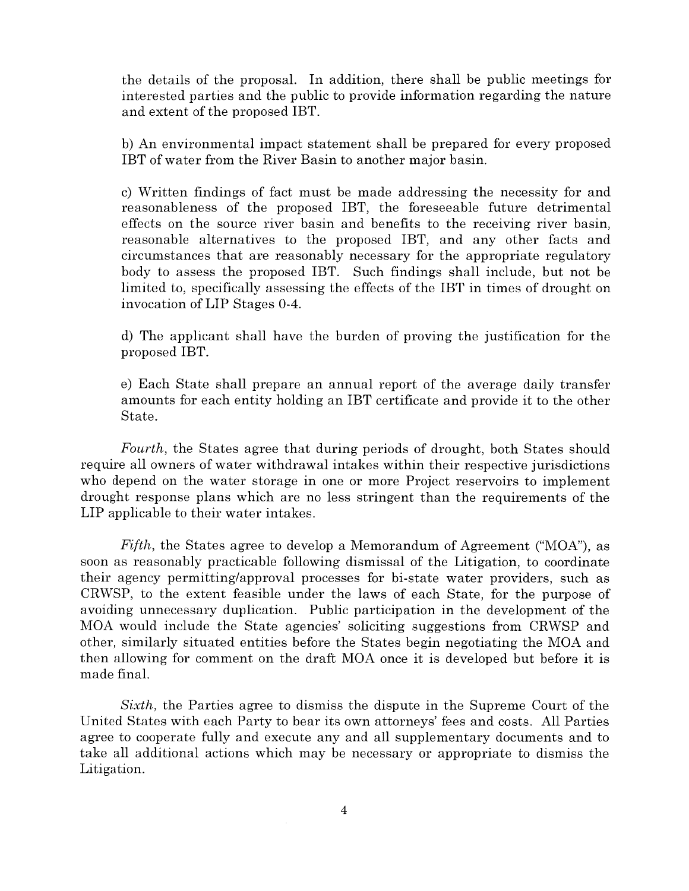the details of the proposal. In addition, there shall be public meetings for interested parties and the public to provide information regarding the nature and extent of the proposed IBT.

b) An environmental impact statement shall be prepared for every proposed IBT of water from the River Basin to another major basin.

c) Written findings of fact must be made addressing the necessity for and reasonableness of the proposed IBT, the foreseeable future detrimental effects on the source river basin and benefits to the receiving river basin, reasonable alternatives to the proposed IBT, and any other facts and circumstances that are reasonably necessary for the appropriate regulatory body to assess the proposed IBT. Such findings shall include, but not be limited to, specifically assessing the effects of the IBT in times of drought on invocation of LIP Stages 0-4.

d) The applicant shall have the burden of proving the justification for the proposed IBT.

e) Each State shall prepare an annual repor<sup>t</sup> of the average daily transfer amounts for each entity holding an IBT certificate and provide it to the other State.

Fourth, the States agree that during periods of drought, both States should require all owners of water withdrawal intakes within their respective jurisdictions who depend on the water storage in one or more Project reservoirs to implement drought response plans which are no less stringent than the requirements of the LIP applicable to their water intakes.

Fifth, the States agree to develop <sup>a</sup> Memorandum of Agreement ("MOA"), as soon as reasonably practicable following dismissal of the Litigation, to coordinate their agency permitting/approval processes for bi-state water providers, such as CRWSP, to the extent feasible under the laws of each State, for the purpose of avoiding unnecessary duplication. Public participation in the development of the MOA would include the State agencies' soliciting suggestions from CRWSP and other, similarly situated entities before the States begin negotiating the MOA and then allowing for comment on the draft MOA once it is developed but before it is made final.

Sixth, the Parties agree to dismiss the dispute in the Supreme Court of the United States with each Party to bear its own attorneys' fees and costs. All Parties agree to cooperate fully and execute any and all supplementary documents and to take all additional actions which may be necessary or appropriate to dismiss the Litigation.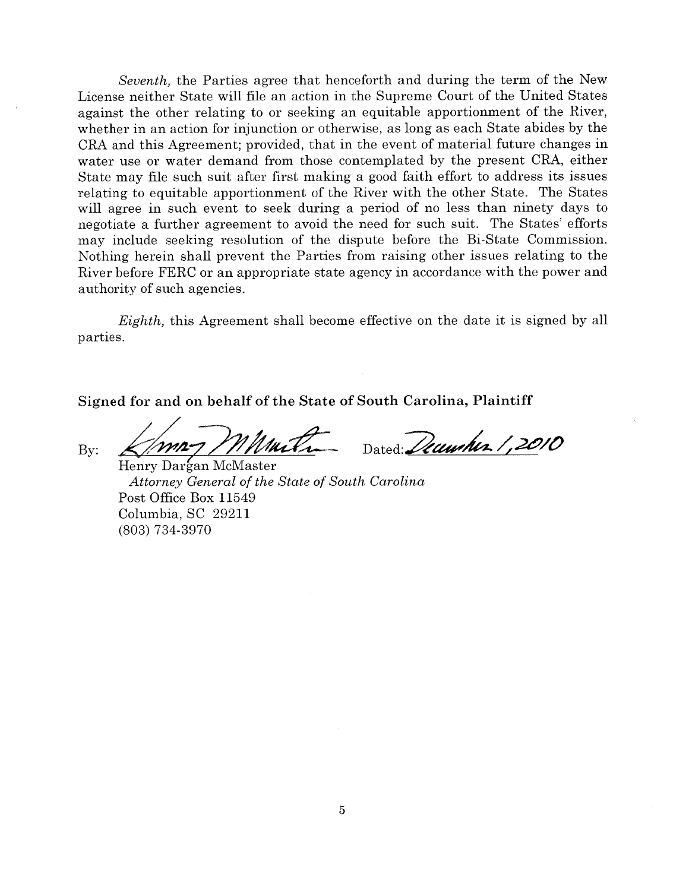Seventh, the Parties agree that henceforth and during the term of the New License neither State will file an action in the Supreme Court of the United States against the other relating to or seeking an equitable apportionment of the River, whether in an action for injunction or otherwise, as long as each State abides by the CRA and this Agreement; provided, that in the event of material future changes in water use or water demand from those contemplated by the presen<sup>t</sup> CRA, either State may file such suit after first making <sup>a</sup> good faith effort to address its issues relating to equitable apportionment of the River with the other State. The States will agree in such event to seek during <sup>a</sup> period of no less than ninety days to negotiate <sup>a</sup> further agreemen<sup>t</sup> to avoid the need for such suit. The States' efforts may include seeking resolution of the dispute before the Bi-State Commission. Nothing herein shall preven<sup>t</sup> the Parties from raising other issues relating to the River before FERC or an appropriate state agency in accordance with the power and authority of such agencies. Seventh, the Parties agree that henceforth a<br>License neither State will file an action in the Sup<br>against the other relating to or seeking an equita<br>whether in an action for injunction or otherwise, as<br>CRA and this Agreem

Eighth, this Agreement shall become effective on the date it is signed by all parties.

Signed for and on behalf of the State of South Carolina, Plaintiff

Henry Dargan McMaster Attorney General of the State of South Carolina Post Office Box 11549 Columbia, SC 29211 (803) 734-3970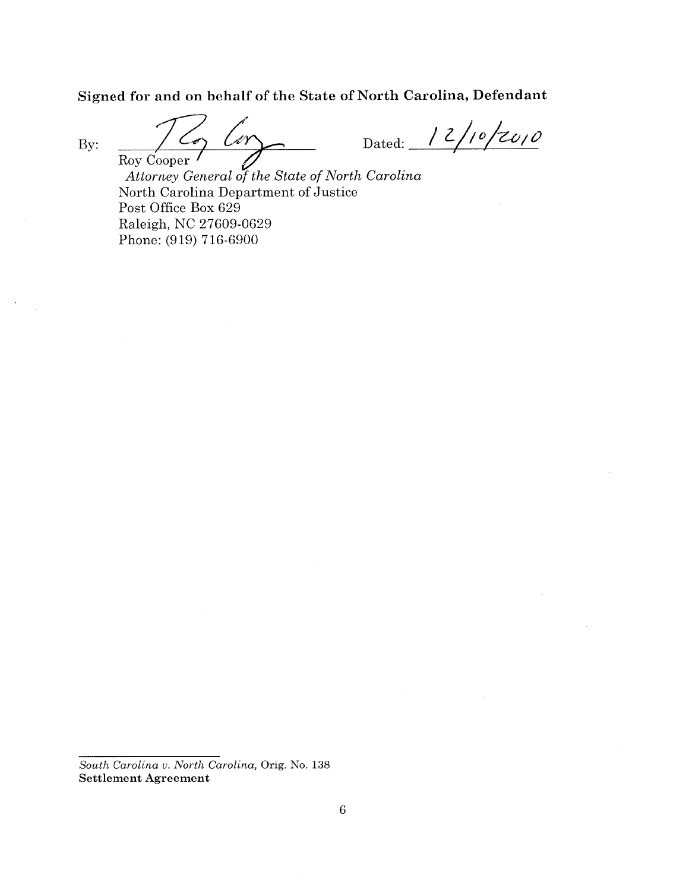Signed for and on behalf of the State of North Carolina, Defendant

By:

Dated:  $12/10/2010$ 

Roy Cooper Attorney General of the State of North Carolina North Carolina Department of Justice Post Office Box 629 Raleigh, NC 27609-0629 Phone: (919) 716-6900

 $\overline{\phantom{a}}$ 

Ler

Cos

South Carolina v. North Carolina, Orig. No. 138 Settlement Agreement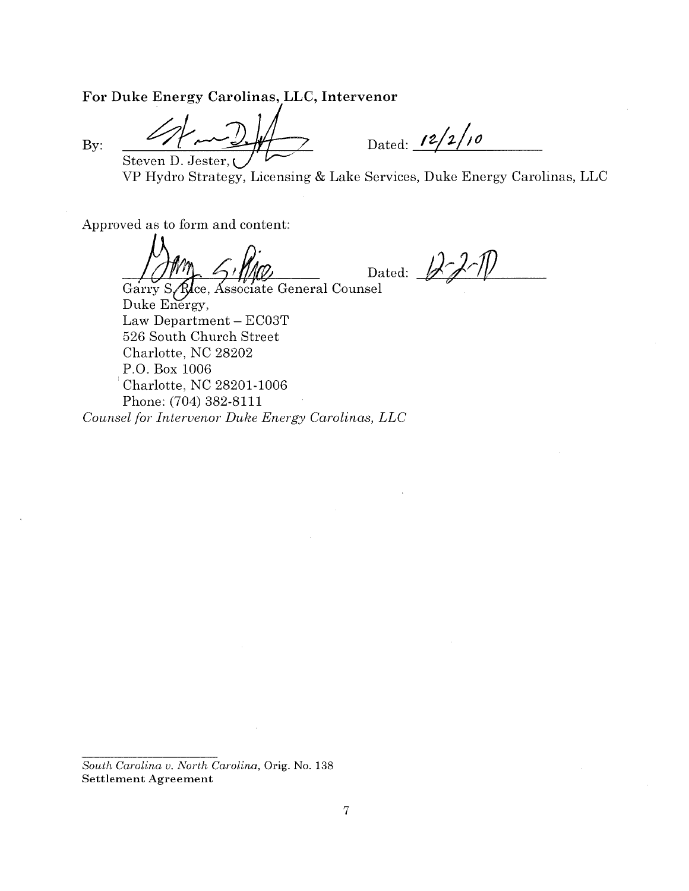For Duke Energy Carolinas, LLC, Intervenor

By:

Steven D. Jester,

Dated:  $12/2/10$ 

Hydro Strategy, Licensing & Lake Services, Duke Energy Carolinas, LLC

For Duke Energy Carolinas, LLC, Intervenor<br>By:<br>By:  $\frac{2}{\sqrt{2}} \frac{1}{\sqrt{2}}$  Dated:  $\frac{12}{2}/10$ <br>VP Hydro Strategy, Licensing & Lake Services, Duke Energ<br>Approved as to form and content:<br> $\frac{1}{\sqrt{2}}$  Dated:  $\frac{1}{\sqrt{2}}$ 

Garry S. Rice, Associate General Counsel Duke Energy, Law Department — ECO3T 526 South Church Street Charlotte, NC 28202 P.O. Box 1006 Charlotte, NC 28201-1006 Phone: (704) 382-8111

Counsel for Intervenor Duke Energy Carolinas, LLC

South Carolina v. North Carolina, Orig. No. 138 Settlement Agreement